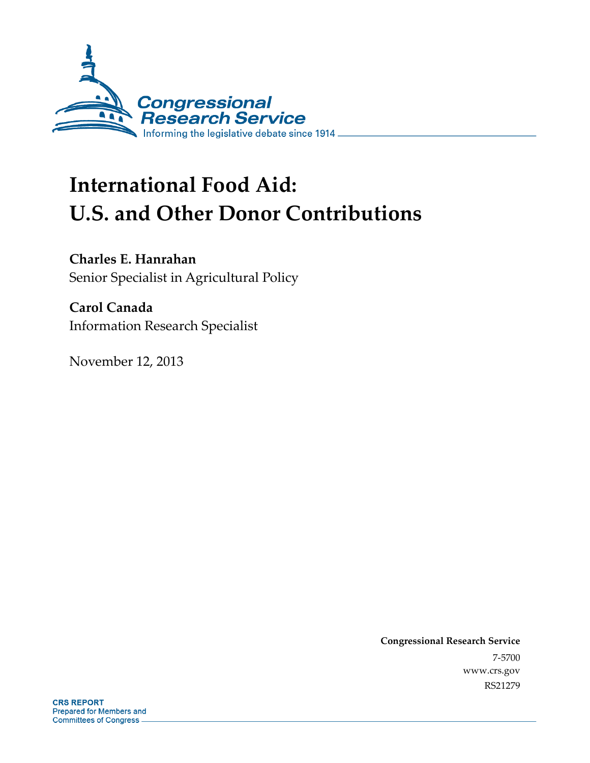

# **International Food Aid: U.S. and Other Donor Contributions**

**Charles E. Hanrahan** 

Senior Specialist in Agricultural Policy

**Carol Canada**  Information Research Specialist

November 12, 2013

**Congressional Research Service**  7-5700 www.crs.gov RS21279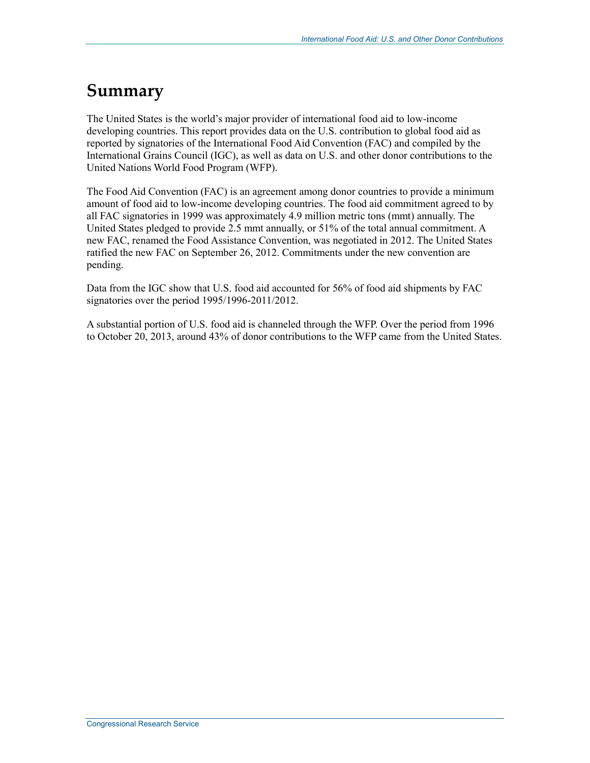# **Summary**

The United States is the world's major provider of international food aid to low-income developing countries. This report provides data on the U.S. contribution to global food aid as reported by signatories of the International Food Aid Convention (FAC) and compiled by the International Grains Council (IGC), as well as data on U.S. and other donor contributions to the United Nations World Food Program (WFP).

The Food Aid Convention (FAC) is an agreement among donor countries to provide a minimum amount of food aid to low-income developing countries. The food aid commitment agreed to by all FAC signatories in 1999 was approximately 4.9 million metric tons (mmt) annually. The United States pledged to provide 2.5 mmt annually, or 51% of the total annual commitment. A new FAC, renamed the Food Assistance Convention, was negotiated in 2012. The United States ratified the new FAC on September 26, 2012. Commitments under the new convention are pending.

Data from the IGC show that U.S. food aid accounted for 56% of food aid shipments by FAC signatories over the period 1995/1996-2011/2012.

A substantial portion of U.S. food aid is channeled through the WFP. Over the period from 1996 to October 20, 2013, around 43% of donor contributions to the WFP came from the United States.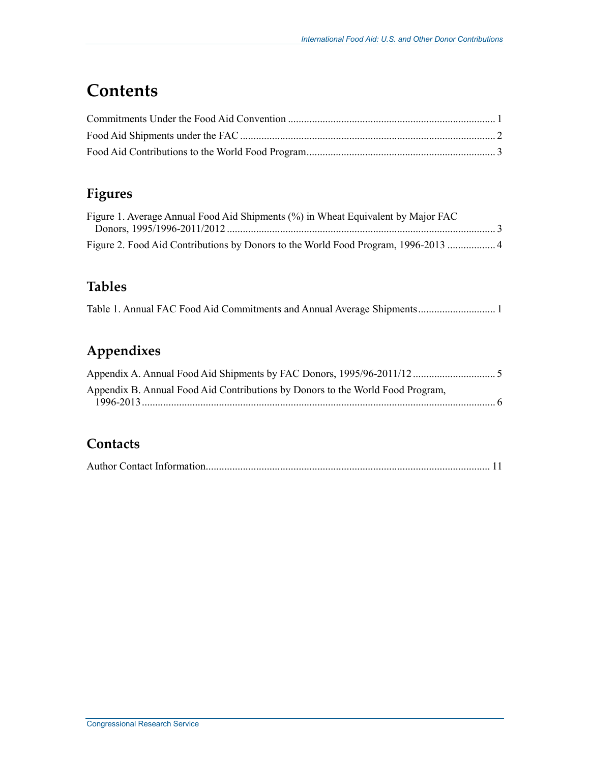# **Contents**

#### **Figures**

| Figure 1. Average Annual Food Aid Shipments (%) in Wheat Equivalent by Major FAC |  |
|----------------------------------------------------------------------------------|--|
|                                                                                  |  |
|                                                                                  |  |

#### **Tables**

#### **Appendixes**

| Appendix B. Annual Food Aid Contributions by Donors to the World Food Program, |  |
|--------------------------------------------------------------------------------|--|
|                                                                                |  |

#### **Contacts**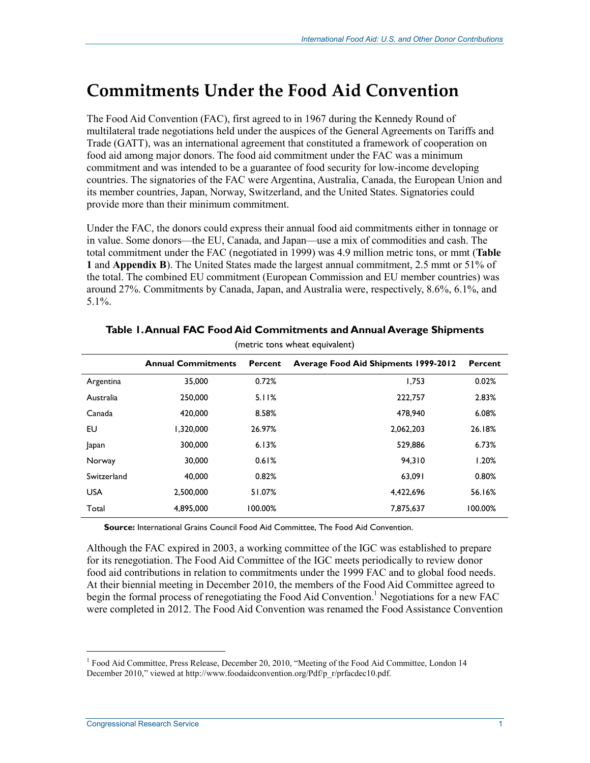## **Commitments Under the Food Aid Convention**

The Food Aid Convention (FAC), first agreed to in 1967 during the Kennedy Round of multilateral trade negotiations held under the auspices of the General Agreements on Tariffs and Trade (GATT), was an international agreement that constituted a framework of cooperation on food aid among major donors. The food aid commitment under the FAC was a minimum commitment and was intended to be a guarantee of food security for low-income developing countries. The signatories of the FAC were Argentina, Australia, Canada, the European Union and its member countries, Japan, Norway, Switzerland, and the United States. Signatories could provide more than their minimum commitment.

Under the FAC, the donors could express their annual food aid commitments either in tonnage or in value. Some donors—the EU, Canada, and Japan—use a mix of commodities and cash. The total commitment under the FAC (negotiated in 1999) was 4.9 million metric tons, or mmt (**Table 1** and **Appendix B**). The United States made the largest annual commitment, 2.5 mmt or 51% of the total. The combined EU commitment (European Commission and EU member countries) was around 27%. Commitments by Canada, Japan, and Australia were, respectively, 8.6%, 6.1%, and 5.1%.

|             |                           |         | (metric tons wheat equivalent)              |         |
|-------------|---------------------------|---------|---------------------------------------------|---------|
|             | <b>Annual Commitments</b> | Percent | <b>Average Food Aid Shipments 1999-2012</b> | Percent |
| Argentina   | 35,000                    | 0.72%   | 1.753                                       | 0.02%   |
| Australia   | 250,000                   | 5.11%   | 222,757                                     | 2.83%   |
| Canada      | 420,000                   | 8.58%   | 478,940                                     | 6.08%   |
| EU          | 1.320.000                 | 26.97%  | 2,062,203                                   | 26.18%  |
| Japan       | 300,000                   | 6.13%   | 529,886                                     | 6.73%   |
| Norway      | 30,000                    | 0.61%   | 94.310                                      | 1.20%   |
| Switzerland | 40,000                    | 0.82%   | 63,091                                      | 0.80%   |
| <b>USA</b>  | 2.500.000                 | 51.07%  | 4.422.696                                   | 56.16%  |
| Total       | 4,895,000                 | 100.00% | 7,875,637                                   | 100.00% |

#### **Table 1. Annual FAC Food Aid Commitments and Annual Average Shipments**

**Source:** International Grains Council Food Aid Committee, The Food Aid Convention.

Although the FAC expired in 2003, a working committee of the IGC was established to prepare for its renegotiation. The Food Aid Committee of the IGC meets periodically to review donor food aid contributions in relation to commitments under the 1999 FAC and to global food needs. At their biennial meeting in December 2010, the members of the Food Aid Committee agreed to begin the formal process of renegotiating the Food Aid Convention.<sup>1</sup> Negotiations for a new FAC were completed in 2012. The Food Aid Convention was renamed the Food Assistance Convention

 $\overline{a}$ 

<sup>&</sup>lt;sup>1</sup> Food Aid Committee, Press Release, December 20, 2010, "Meeting of the Food Aid Committee, London 14 December 2010," viewed at http://www.foodaidconvention.org/Pdf/p\_r/prfacdec10.pdf.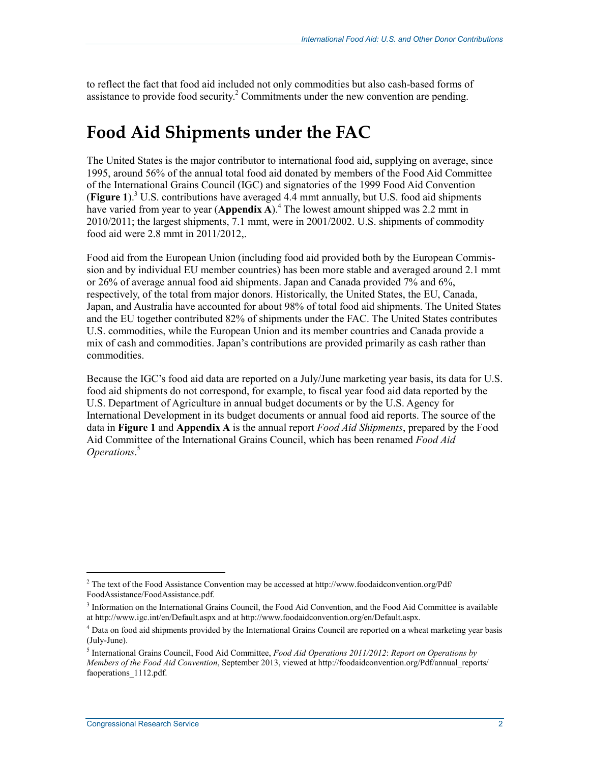to reflect the fact that food aid included not only commodities but also cash-based forms of assistance to provide food security.<sup>2</sup> Commitments under the new convention are pending.

### **Food Aid Shipments under the FAC**

The United States is the major contributor to international food aid, supplying on average, since 1995, around 56% of the annual total food aid donated by members of the Food Aid Committee of the International Grains Council (IGC) and signatories of the 1999 Food Aid Convention (**Figure 1**).3 U.S. contributions have averaged 4.4 mmt annually, but U.S. food aid shipments have varied from year to year (Appendix A).<sup>4</sup> The lowest amount shipped was 2.2 mmt in 2010/2011; the largest shipments, 7.1 mmt, were in 2001/2002. U.S. shipments of commodity food aid were 2.8 mmt in 2011/2012,.

Food aid from the European Union (including food aid provided both by the European Commission and by individual EU member countries) has been more stable and averaged around 2.1 mmt or 26% of average annual food aid shipments. Japan and Canada provided 7% and 6%, respectively, of the total from major donors. Historically, the United States, the EU, Canada, Japan, and Australia have accounted for about 98% of total food aid shipments. The United States and the EU together contributed 82% of shipments under the FAC. The United States contributes U.S. commodities, while the European Union and its member countries and Canada provide a mix of cash and commodities. Japan's contributions are provided primarily as cash rather than commodities.

Because the IGC's food aid data are reported on a July/June marketing year basis, its data for U.S. food aid shipments do not correspond, for example, to fiscal year food aid data reported by the U.S. Department of Agriculture in annual budget documents or by the U.S. Agency for International Development in its budget documents or annual food aid reports. The source of the data in **Figure 1** and **Appendix A** is the annual report *Food Aid Shipments*, prepared by the Food Aid Committee of the International Grains Council, which has been renamed *Food Aid Operations*. 5

 $\overline{a}$ 

<sup>&</sup>lt;sup>2</sup> The text of the Food Assistance Convention may be accessed at http://www.foodaidconvention.org/Pdf/ FoodAssistance/FoodAssistance.pdf.

<sup>&</sup>lt;sup>3</sup> Information on the International Grains Council, the Food Aid Convention, and the Food Aid Committee is available at http://www.igc.int/en/Default.aspx and at http://www.foodaidconvention.org/en/Default.aspx.

<sup>&</sup>lt;sup>4</sup> Data on food aid shipments provided by the International Grains Council are reported on a wheat marketing year basis (July-June).

<sup>5</sup> International Grains Council, Food Aid Committee, *Food Aid Operations 2011/2012*: *Report on Operations by Members of the Food Aid Convention*, September 2013, viewed at http://foodaidconvention.org/Pdf/annual\_reports/ faoperations 1112.pdf.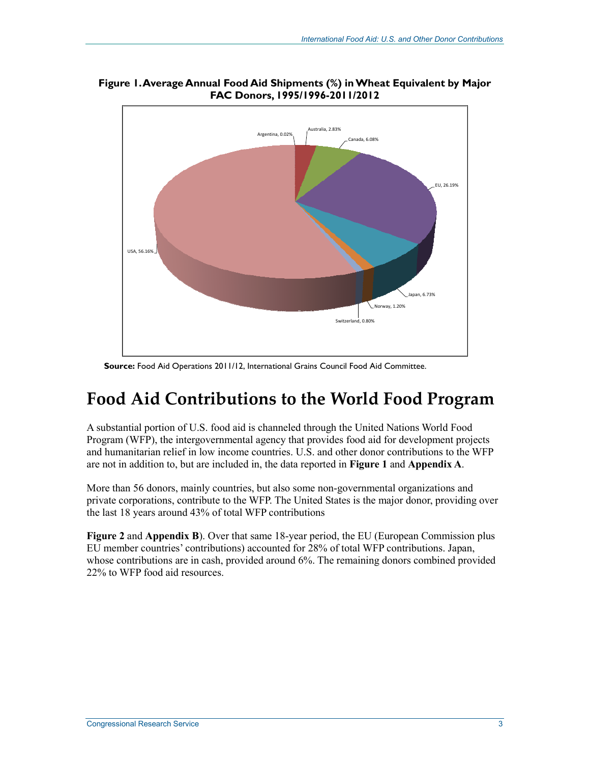

**Figure 1. Average Annual Food Aid Shipments (%) in Wheat Equivalent by Major FAC Donors, 1995/1996-2011/2012** 

Source: Food Aid Operations 2011/12, International Grains Council Food Aid Committee.

### **Food Aid Contributions to the World Food Program**

A substantial portion of U.S. food aid is channeled through the United Nations World Food Program (WFP), the intergovernmental agency that provides food aid for development projects and humanitarian relief in low income countries. U.S. and other donor contributions to the WFP are not in addition to, but are included in, the data reported in **Figure 1** and **Appendix A**.

More than 56 donors, mainly countries, but also some non-governmental organizations and private corporations, contribute to the WFP. The United States is the major donor, providing over the last 18 years around 43% of total WFP contributions

**Figure 2** and **Appendix B**). Over that same 18-year period, the EU (European Commission plus EU member countries' contributions) accounted for 28% of total WFP contributions. Japan, whose contributions are in cash, provided around 6%. The remaining donors combined provided 22% to WFP food aid resources.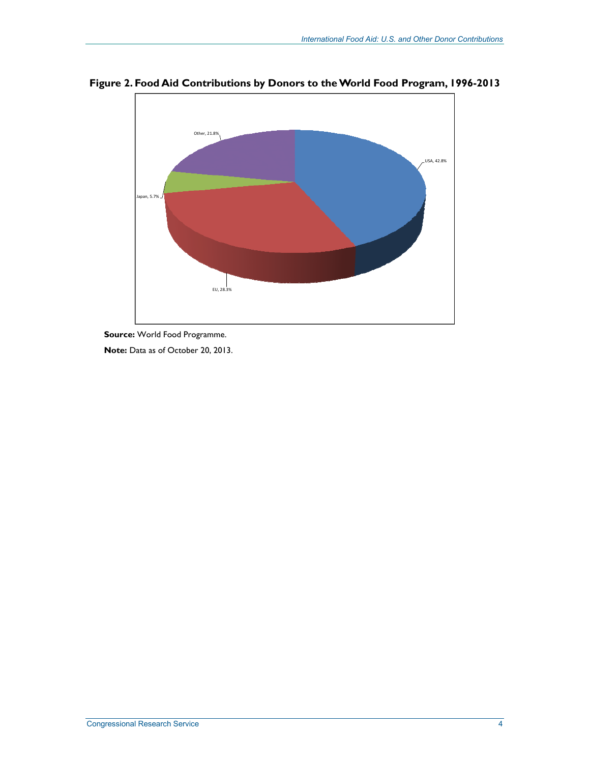

**Figure 2. Food Aid Contributions by Donors to the World Food Program, 1996-2013** 

**Source:** World Food Programme.

**Note:** Data as of October 20, 2013.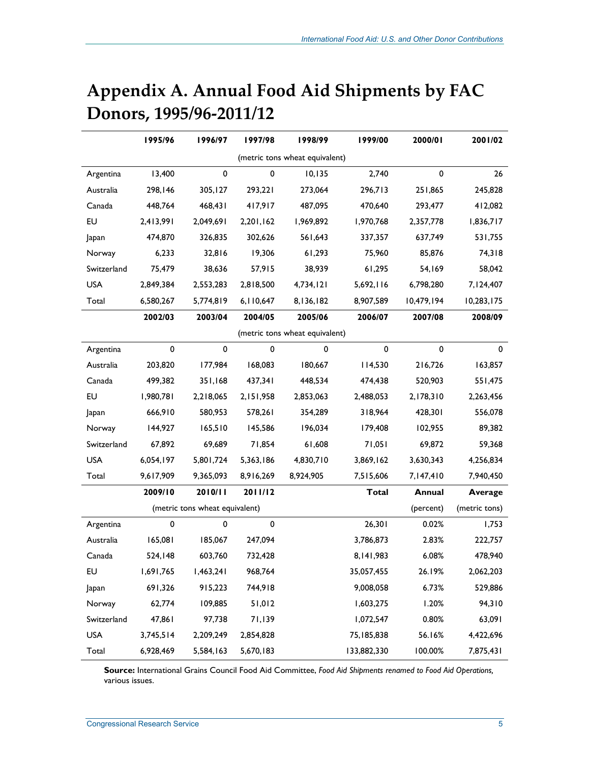|             | 1995/96   | 1996/97                        | 1997/98   | 1998/99                        | 1999/00      | 2000/01    | 2001/02        |
|-------------|-----------|--------------------------------|-----------|--------------------------------|--------------|------------|----------------|
|             |           |                                |           | (metric tons wheat equivalent) |              |            |                |
| Argentina   | 13,400    | 0                              | 0         | 10, 135                        | 2,740        | 0          | 26             |
| Australia   | 298,146   | 305,127                        | 293,221   | 273,064                        | 296,713      | 251,865    | 245,828        |
| Canada      | 448,764   | 468,431                        | 417,917   | 487,095                        | 470,640      | 293,477    | 412,082        |
| EU          | 2,413,991 | 2,049,691                      | 2,201,162 | 1,969,892                      | 1,970,768    | 2,357,778  | 1,836,717      |
| Japan       | 474,870   | 326,835                        | 302,626   | 561,643                        | 337,357      | 637,749    | 531,755        |
| Norway      | 6,233     | 32,816                         | 19,306    | 61,293                         | 75,960       | 85,876     | 74,318         |
| Switzerland | 75,479    | 38,636                         | 57,915    | 38,939                         | 61,295       | 54,169     | 58,042         |
| <b>USA</b>  | 2,849,384 | 2,553,283                      | 2,818,500 | 4,734,121                      | 5,692,116    | 6,798,280  | 7,124,407      |
| Total       | 6,580,267 | 5,774,819                      | 6,110,647 | 8,136,182                      | 8,907,589    | 10,479,194 | 10,283,175     |
|             | 2002/03   | 2003/04                        | 2004/05   | 2005/06                        | 2006/07      | 2007/08    | 2008/09        |
|             |           |                                |           | (metric tons wheat equivalent) |              |            |                |
| Argentina   | 0         | $\pmb{0}$                      | 0         | 0                              | $\pmb{0}$    | $\pmb{0}$  | $\mathbf 0$    |
| Australia   | 203,820   | 177,984                        | 168,083   | 180,667                        | 114,530      | 216,726    | 163,857        |
| Canada      | 499,382   | 351,168                        | 437,341   | 448,534                        | 474,438      | 520,903    | 551,475        |
| EU          | 1,980,781 | 2,218,065                      | 2,151,958 | 2,853,063                      | 2,488,053    | 2,178,310  | 2,263,456      |
| Japan       | 666,910   | 580,953                        | 578,261   | 354,289                        | 318,964      | 428,301    | 556,078        |
| Norway      | 144,927   | 165,510                        | 145,586   | 196,034                        | 179,408      | 102,955    | 89,382         |
| Switzerland | 67,892    | 69,689                         | 71,854    | 61,608                         | 71,051       | 69,872     | 59,368         |
| <b>USA</b>  | 6,054,197 | 5,801,724                      | 5,363,186 | 4,830,710                      | 3,869,162    | 3,630,343  | 4,256,834      |
| Total       | 9,617,909 | 9,365,093                      | 8,916,269 | 8,924,905                      | 7,515,606    | 7,147,410  | 7,940,450      |
|             | 2009/10   | 2010/11                        | 2011/12   |                                | <b>Total</b> | Annual     | <b>Average</b> |
|             |           | (metric tons wheat equivalent) |           |                                |              | (percent)  | (metric tons)  |
| Argentina   | 0         | $\pmb{0}$                      | $\pmb{0}$ |                                | 26,301       | 0.02%      | 1,753          |
| Australia   | 165,081   | 185,067                        | 247,094   |                                | 3,786,873    | 2.83%      | 222,757        |
| Canada      | 524,148   | 603,760                        | 732,428   |                                | 8,141,983    | 6.08%      | 478,940        |
| EU          | 1,691,765 | 1,463,241                      | 968,764   |                                | 35,057,455   | 26.19%     | 2,062,203      |
| Japan       | 691,326   | 915,223                        | 744,918   |                                | 9,008,058    | 6.73%      | 529,886        |
| Norway      | 62,774    | 109,885                        | 51,012    |                                | 1,603,275    | 1.20%      | 94,310         |
| Switzerland | 47,861    | 97,738                         | 71,139    |                                | 1,072,547    | 0.80%      | 63,091         |
| <b>USA</b>  | 3,745,514 | 2,209,249                      | 2,854,828 |                                | 75, 185, 838 | 56.16%     | 4,422,696      |
| Total       | 6,928,469 | 5,584,163                      | 5,670,183 |                                | 133,882,330  | 100.00%    | 7,875,431      |

# **Appendix A. Annual Food Aid Shipments by FAC Donors, 1995/96-2011/12**

**Source:** International Grains Council Food Aid Committee, *Food Aid Shipments renamed to Food Aid Operations,* various issues.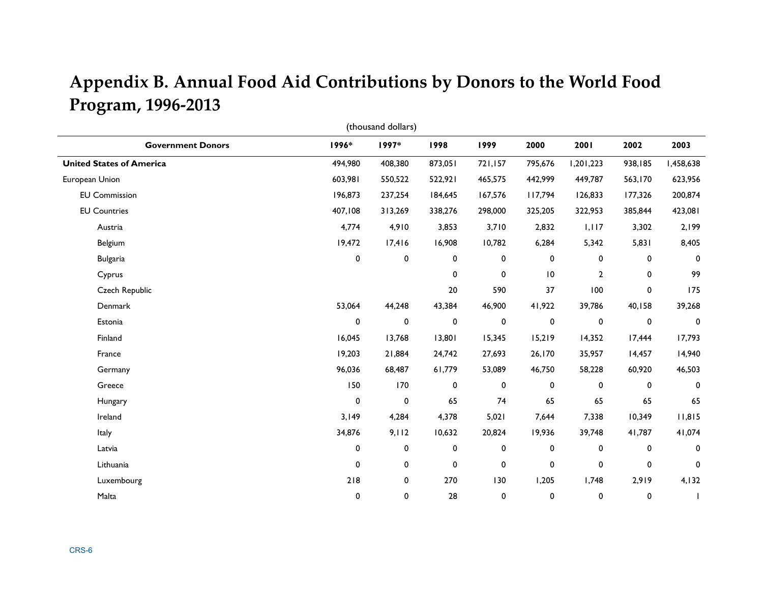# **Appendix B. Annual Food Aid Contributions by Donors to the World Food Program, 1996-2013**

| (thousand dollars)              |              |           |         |         |                 |              |             |             |
|---------------------------------|--------------|-----------|---------|---------|-----------------|--------------|-------------|-------------|
| <b>Government Donors</b>        | 1996*        | 1997*     | 1998    | 1999    | 2000            | 2001         | 2002        | 2003        |
| <b>United States of America</b> | 494,980      | 408,380   | 873,051 | 721,157 | 795,676         | 1,201,223    | 938,185     | 1,458,638   |
| European Union                  | 603,981      | 550,522   | 522,921 | 465,575 | 442,999         | 449,787      | 563,170     | 623,956     |
| <b>EU Commission</b>            | 196,873      | 237,254   | 184,645 | 167,576 | 117,794         | 126,833      | 177,326     | 200,874     |
| <b>EU Countries</b>             | 407,108      | 313,269   | 338,276 | 298,000 | 325,205         | 322,953      | 385,844     | 423,081     |
| Austria                         | 4,774        | 4,910     | 3,853   | 3,710   | 2,832           | 1,117        | 3,302       | 2,199       |
| Belgium                         | 19,472       | 17,416    | 16,908  | 10,782  | 6,284           | 5,342        | 5,831       | 8,405       |
| <b>Bulgaria</b>                 | 0            | $\pmb{0}$ | 0       | 0       | 0               | 0            | 0           | 0           |
| Cyprus                          |              |           | 0       | 0       | $\overline{10}$ | $\mathbf{2}$ | 0           | 99          |
| Czech Republic                  |              |           | $20\,$  | 590     | 37              | 100          | 0           | 175         |
| Denmark                         | 53,064       | 44,248    | 43,384  | 46,900  | 41,922          | 39,786       | 40,158      | 39,268      |
| Estonia                         | $\mathbf 0$  | $\pmb{0}$ | 0       | 0       | $\pmb{0}$       | $\mathbf 0$  | 0           | $\mathbf 0$ |
| Finland                         | 16,045       | 13,768    | 13,801  | 15,345  | 15,219          | 14,352       | 17,444      | 17,793      |
| France                          | 19,203       | 21,884    | 24,742  | 27,693  | 26,170          | 35,957       | 14,457      | 14,940      |
| Germany                         | 96,036       | 68,487    | 61,779  | 53,089  | 46,750          | 58,228       | 60,920      | 46,503      |
| Greece                          | 150          | 170       | 0       | 0       | 0               | 0            | 0           | 0           |
| Hungary                         | 0            | $\pmb{0}$ | 65      | 74      | 65              | 65           | 65          | 65          |
| Ireland                         | 3,149        | 4,284     | 4,378   | 5,021   | 7,644           | 7,338        | 10,349      | 11,815      |
| Italy                           | 34,876       | 9,112     | 10,632  | 20,824  | 19,936          | 39,748       | 41,787      | 41,074      |
| Latvia                          | 0            | 0         | 0       | 0       | 0               | 0            | 0           | 0           |
| Lithuania                       | $\mathbf{0}$ | 0         | 0       | 0       | 0               | 0            | $\mathbf 0$ | $\mathbf 0$ |
| Luxembourg                      | 218          | 0         | 270     | 130     | 1,205           | 1,748        | 2,919       | 4,132       |
| Malta                           | $\pmb{0}$    | 0         | 28      | 0       | 0               | 0            | 0           |             |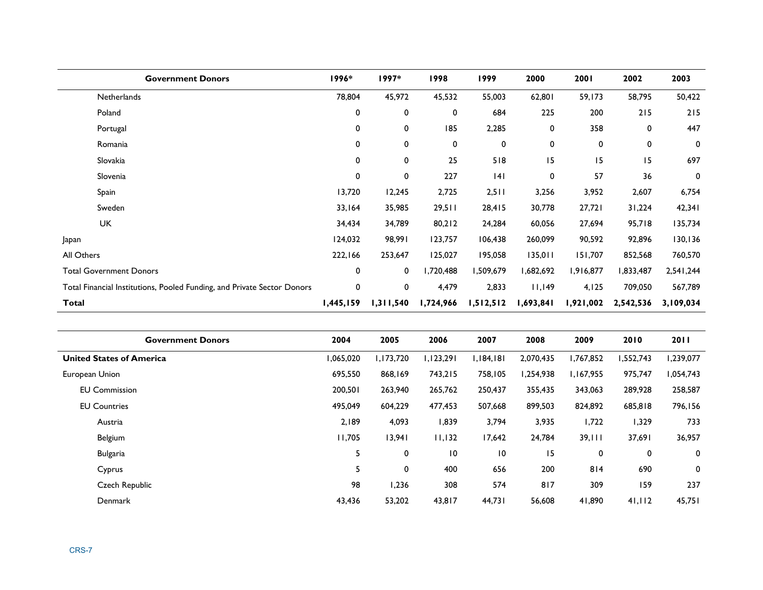| <b>Government Donors</b>                                                | 1996*       | 1997*     | 1998      | 1999      | 2000      | 2001      | 2002      | 2003        |
|-------------------------------------------------------------------------|-------------|-----------|-----------|-----------|-----------|-----------|-----------|-------------|
| Netherlands                                                             | 78,804      | 45,972    | 45,532    | 55,003    | 62,801    | 59,173    | 58,795    | 50,422      |
| Poland                                                                  | 0           | 0         | 0         | 684       | 225       | 200       | $215$     | 215         |
| Portugal                                                                | 0           | 0         | 185       | 2,285     | 0         | 358       | 0         | 447         |
| Romania                                                                 | 0           | 0         | 0         | 0         | 0         | 0         | 0         | $\mathbf 0$ |
| Slovakia                                                                | 0           | 0         | 25        | 518       | 15        | 15        | 15        | 697         |
| Slovenia                                                                | 0           | 0         | 227       | 4         | 0         | 57        | 36        | $\mathbf 0$ |
| Spain                                                                   | 13,720      | 12,245    | 2,725     | 2,511     | 3,256     | 3,952     | 2,607     | 6,754       |
| Sweden                                                                  | 33,164      | 35,985    | 29,511    | 28,415    | 30,778    | 27,721    | 31,224    | 42,341      |
| <b>UK</b>                                                               | 34,434      | 34,789    | 80,212    | 24,284    | 60,056    | 27,694    | 95,718    | 135,734     |
| Japan                                                                   | 124,032     | 98,991    | 123,757   | 106,438   | 260,099   | 90,592    | 92,896    | 130, 136    |
| All Others                                                              | 222,166     | 253,647   | 125,027   | 195,058   | 135,011   | 151,707   | 852,568   | 760,570     |
| <b>Total Government Donors</b>                                          | $\mathbf 0$ | 0         | ,720,488  | 1,509,679 | 1,682,692 | 1,916,877 | 1,833,487 | 2,541,244   |
| Total Financial Institutions, Pooled Funding, and Private Sector Donors | $\mathbf 0$ | 0         | 4,479     | 2,833     | 11,149    | 4,125     | 709,050   | 567,789     |
| Total                                                                   | 1,445,159   | 1,311,540 | 1,724,966 | 1,512,512 | 1,693,841 | 1,921,002 | 2,542,536 | 3,109,034   |

| <b>Government Donors</b>        | 2004     | 2005      | 2006            | 2007      | 2008      | 2009      | 2010      | <b>2011</b> |
|---------------------------------|----------|-----------|-----------------|-----------|-----------|-----------|-----------|-------------|
| <b>United States of America</b> | 065,020, | 1,173,720 | 1,123,291       | 1,184,181 | 2,070,435 | 1,767,852 | 1,552,743 | 1,239,077   |
| European Union                  | 695,550  | 868,169   | 743,215         | 758,105   | 1,254,938 | 1,167,955 | 975,747   | 1,054,743   |
| <b>EU Commission</b>            | 200,501  | 263,940   | 265,762         | 250,437   | 355,435   | 343,063   | 289,928   | 258,587     |
| <b>EU Countries</b>             | 495,049  | 604,229   | 477,453         | 507,668   | 899,503   | 824,892   | 685,818   | 796,156     |
| Austria                         | 2,189    | 4,093     | 839, ا          | 3,794     | 3,935     | 1,722     | 1,329     | 733         |
| Belgium                         | 11,705   | 13,941    | 11,132          | 17,642    | 24,784    | 39,111    | 37,691    | 36,957      |
| <b>Bulgaria</b>                 |          | 0         | $\overline{10}$ | 10        | 15        | 0         | 0         | 0           |
| Cyprus                          |          | 0         | 400             | 656       | 200       | 814       | 690       | 0           |
| Czech Republic                  | 98       | 1,236     | 308             | 574       | 817       | 309       | 159       | 237         |
| <b>Denmark</b>                  | 43,436   | 53,202    | 43,817          | 44,731    | 56,608    | 41,890    | 41,112    | 45,751      |
|                                 |          |           |                 |           |           |           |           |             |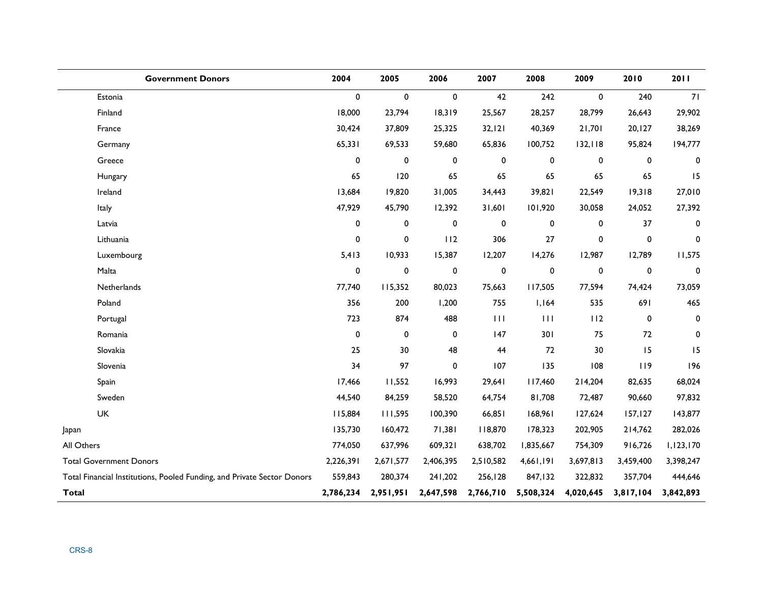| <b>Government Donors</b>                                                | 2004        | 2005      | 2006        | 2007      | 2008         | 2009        | 2010      | 2011        |
|-------------------------------------------------------------------------|-------------|-----------|-------------|-----------|--------------|-------------|-----------|-------------|
| Estonia                                                                 | $\mathbf 0$ | 0         | $\mathbf 0$ | 42        | 242          | $\mathbf 0$ | 240       | 71          |
| Finland                                                                 | 18,000      | 23,794    | 18,319      | 25,567    | 28,257       | 28,799      | 26,643    | 29,902      |
| France                                                                  | 30,424      | 37,809    | 25,325      | 32, 121   | 40,369       | 21,701      | 20, 127   | 38,269      |
| Germany                                                                 | 65,331      | 69,533    | 59,680      | 65,836    | 100,752      | 132, 118    | 95,824    | 194,777     |
| Greece                                                                  | 0           | $\pmb{0}$ | $\pmb{0}$   | 0         | 0            | 0           | $\pmb{0}$ | 0           |
| Hungary                                                                 | 65          | 120       | 65          | 65        | 65           | 65          | 65        | 15          |
| Ireland                                                                 | 13,684      | 19,820    | 31,005      | 34,443    | 39,821       | 22,549      | 19,318    | 27,010      |
| Italy                                                                   | 47,929      | 45,790    | 12,392      | 31,601    | 101,920      | 30,058      | 24,052    | 27,392      |
| Latvia                                                                  | 0           | 0         | $\pmb{0}$   | $\pmb{0}$ | 0            | 0           | 37        | 0           |
| Lithuania                                                               | 0           | 0         | 112         | 306       | 27           | 0           | 0         | $\pmb{0}$   |
| Luxembourg                                                              | 5,413       | 10,933    | 15,387      | 12,207    | 14,276       | 12,987      | 12,789    | 11,575      |
| Malta                                                                   | 0           | $\pmb{0}$ | $\pmb{0}$   | 0         | 0            | 0           | $\pmb{0}$ | $\mathbf 0$ |
| Netherlands                                                             | 77,740      | 115,352   | 80,023      | 75,663    | 117,505      | 77,594      | 74,424    | 73,059      |
| Poland                                                                  | 356         | 200       | 1,200       | 755       | 1,164        | 535         | 691       | 465         |
| Portugal                                                                | 723         | 874       | 488         | 111       | $\mathbf{H}$ | 112         | 0         | $\mathbf 0$ |
| Romania                                                                 | $\pmb{0}$   | 0         | $\pmb{0}$   | 147       | 301          | 75          | 72        | $\mathbf 0$ |
| Slovakia                                                                | 25          | 30        | 48          | 44        | 72           | 30          | 15        | 15          |
| Slovenia                                                                | 34          | 97        | $\pmb{0}$   | 107       | 135          | 108         | 119       | 196         |
| Spain                                                                   | 17,466      | 11,552    | 16,993      | 29,641    | 117,460      | 214,204     | 82,635    | 68,024      |
| Sweden                                                                  | 44,540      | 84,259    | 58,520      | 64,754    | 81,708       | 72,487      | 90,660    | 97,832      |
| <b>UK</b>                                                               | 115,884     | 111,595   | 100,390     | 66,851    | 168,961      | 127,624     | 157, 127  | 143,877     |
| Japan                                                                   | 135,730     | 160,472   | 71,381      | 118,870   | 178,323      | 202,905     | 214,762   | 282,026     |
| All Others                                                              | 774,050     | 637,996   | 609,321     | 638,702   | 1,835,667    | 754,309     | 916,726   | 1,123,170   |
| <b>Total Government Donors</b>                                          | 2,226,391   | 2,671,577 | 2,406,395   | 2,510,582 | 4,661,191    | 3,697,813   | 3,459,400 | 3,398,247   |
| Total Financial Institutions, Pooled Funding, and Private Sector Donors | 559,843     | 280,374   | 241,202     | 256,128   | 847,132      | 322,832     | 357,704   | 444,646     |
| <b>Total</b>                                                            | 2,786,234   | 2,951,951 | 2,647,598   | 2,766,710 | 5,508,324    | 4,020,645   | 3,817,104 | 3,842,893   |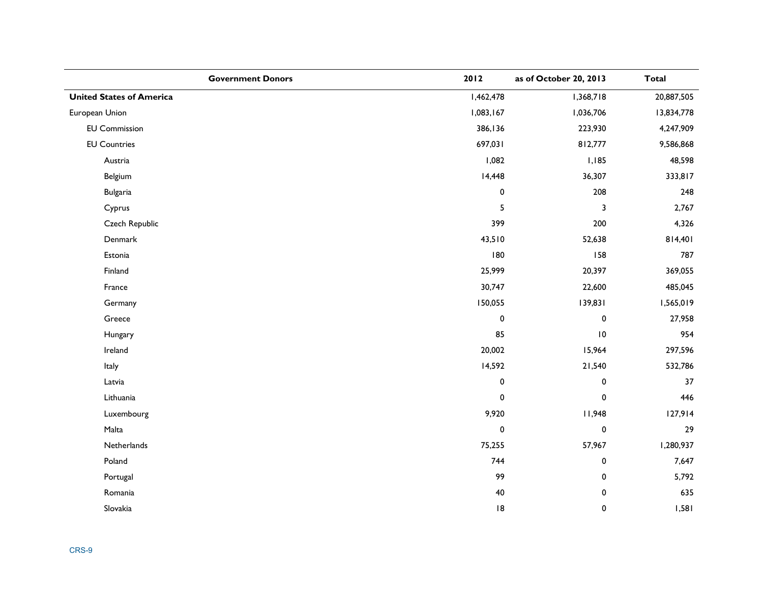| <b>Government Donors</b>        | 2012        | as of October 20, 2013  | <b>Total</b> |
|---------------------------------|-------------|-------------------------|--------------|
| <b>United States of America</b> | 1,462,478   | 1,368,718               | 20,887,505   |
| European Union                  | 1,083,167   | 1,036,706               | 13,834,778   |
| <b>EU Commission</b>            | 386,136     | 223,930                 | 4,247,909    |
| <b>EU Countries</b>             | 697,031     | 812,777                 | 9,586,868    |
| Austria                         | 1,082       | I, I85                  | 48,598       |
| Belgium                         | 14,448      | 36,307                  | 333,817      |
| <b>Bulgaria</b>                 | $\pmb{0}$   | 208                     | 248          |
| Cyprus                          | 5           | $\overline{\mathbf{3}}$ | 2,767        |
| Czech Republic                  | 399         | 200                     | 4,326        |
| Denmark                         | 43,510      | 52,638                  | 814,401      |
| Estonia                         | 180         | 158                     | 787          |
| Finland                         | 25,999      | 20,397                  | 369,055      |
| France                          | 30,747      | 22,600                  | 485,045      |
| Germany                         | 150,055     | 139,831                 | 1,565,019    |
| Greece                          | $\pmb{0}$   | $\pmb{0}$               | 27,958       |
| Hungary                         | 85          | $\,$ l $\,$ 0 $\,$      | 954          |
| Ireland                         | 20,002      | 15,964                  | 297,596      |
| Italy                           | 14,592      | 21,540                  | 532,786      |
| Latvia                          | 0           | $\pmb{0}$               | 37           |
| Lithuania                       | $\mathbf 0$ | 0                       | 446          |
| Luxembourg                      | 9,920       | 11,948                  | 127,914      |
| Malta                           | $\mathbf 0$ | $\pmb{0}$               | 29           |
| Netherlands                     | 75,255      | 57,967                  | 1,280,937    |
| Poland                          | 744         | $\pmb{0}$               | 7,647        |
| Portugal                        | 99          | $\pmb{0}$               | 5,792        |
| Romania                         | 40          | 0                       | 635          |
| Slovakia                        | 8           | $\pmb{0}$               | 1,581        |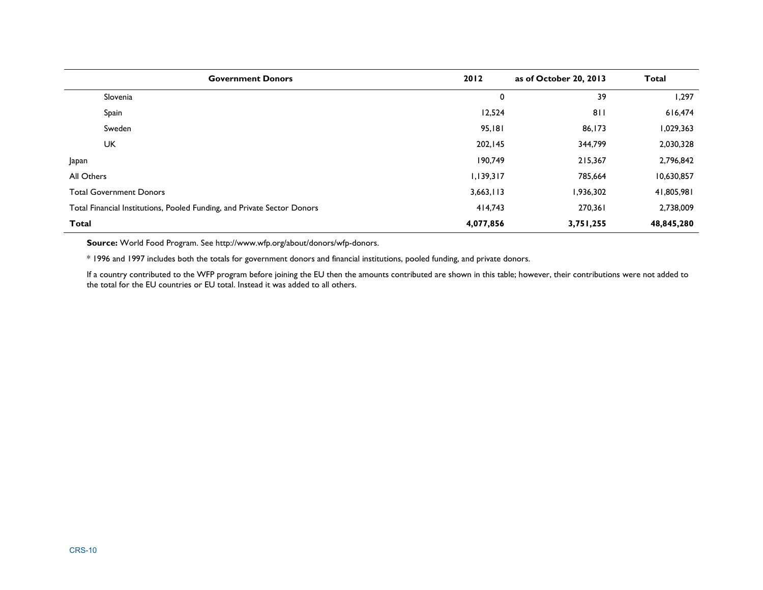| <b>Government Donors</b>                                                | 2012      | as of October 20, 2013 | <b>Total</b> |
|-------------------------------------------------------------------------|-----------|------------------------|--------------|
| Slovenia                                                                | 0         | 39                     | 1,297        |
| Spain                                                                   | 12,524    | 811                    | 616,474      |
| Sweden                                                                  | 95,181    | 86,173                 | 1,029,363    |
| <b>UK</b>                                                               | 202,145   | 344,799                | 2,030,328    |
| Japan                                                                   | 190,749   | 215,367                | 2,796,842    |
| All Others                                                              | 1,139,317 | 785,664                | 10,630,857   |
| <b>Total Government Donors</b>                                          | 3,663,113 | 1,936,302              | 41,805,981   |
| Total Financial Institutions, Pooled Funding, and Private Sector Donors | 414,743   | 270,361                | 2,738,009    |
| <b>Total</b>                                                            | 4,077,856 | 3,751,255              | 48,845,280   |

**Source:** World Food Program. See http://www.wfp.org/about/donors/wfp-donors.

\* 1996 and 1997 includes both the totals for government donors and financial institutions, pooled funding, and private donors.

If a country contributed to the WFP program before joining the EU then the amounts contributed are shown in this table; however, their contributions were not added to the total for the EU countries or EU total. Instead it was added to all others.